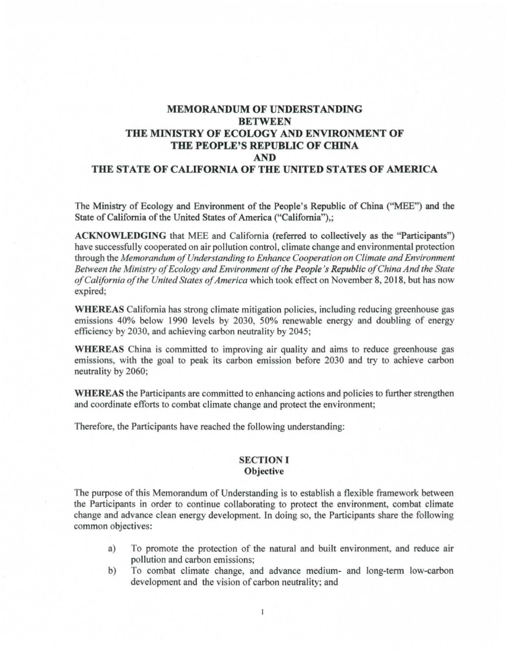# **MEMORANDUM OF UNDERSTANDING BETWEEN THE MINISTRY OF ECOLOGY AND ENVIRONMENT OF THE PEOPLE'S REPUBLIC OF CHINA AND THE STATE OF CALIFORNIA OF THE UNITED STATES OF AMERICA**

The Ministry of Ecology and Environment of the People's Republic of China ("MEE") and the State of California of the United States of America ("California"),;

**ACKNOWLEDGING** that MEE and California (referred to collectively as the "Participants") have successfully cooperated on air pollution control, climate change and environmental protection through the *Memorandum of Understanding to Enhance Cooperation on Climate and Environment* Between the Ministry of Ecology and Environment of the People's Republic of China And the State *ofCalifornia ofthe United States ofAmerica* which took effect on November 8, 2018 but has now expired;

**WHEREAS** California has strong climate mitigation policies, including reducing greenhouse gas emissions 40% below 1990 levels by 2030, 50% renewable energy and doubling of energy efficiency by 2030, and achieving carbon neutrality by 2045;

**WHEREAS** China is committed to improving air quality and aims to reduce greenhouse gas emissions, with the goal to peak its carbon emission before 2030 and try to achieve carbon neutrality by 2060;

**WHEREAS** the Participants are committed to enhancing actions and policies to further strengthen and coordinate efforts to combat climate change and protect the environment;

Therefore, the Participants have reached the following understanding:

#### **SECTION** I **Objective**

The purpose of this Memorandum of Understanding is to establish a flexible framework between the Participants in order to continue collaborating to protect the environment, combat climate change and advance clean energy development. Jn doing so, the Participants share the following common objectives:

- a) To promote the protection of the natural and built environment, and reduce air pollution and carbon emissions;
- b) To combat climate change, and advance medium- and long-term low-carbon development and the vision of carbon neutrality; and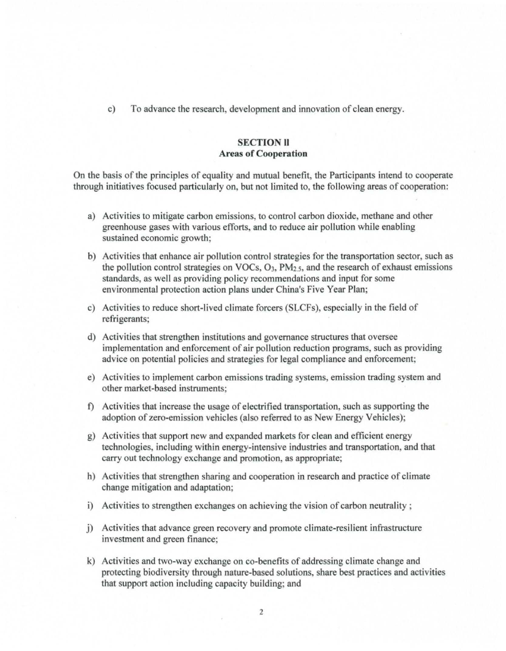c) To advance the research, development and innovation of clean energy.

### **SECTION** II **Areas of Cooperation**

On the basis of the principles of equality and mutual benefit, the Participants intend to cooperate through initiatives focused particularly on, but not limited to, the following areas of cooperation:

- a) Activities to mitigate carbon emissions, to control carbon dioxide, methane and other greenhouse gases with various efforts, and to reduce air pollution while enabling sustained economic growth;
- b) Activities that enhance air pollution control strategies for the transportation sector, such as the pollution control strategies on VOCs,  $O_3$ ,  $PM_{2.5}$ , and the research of exhaust emissions standards, as well as providing policy recommendations and input for some environmental protection action plans under China's Five Year Plan;
- c) Activities to reduce short-lived climate forcers (SLCFs), especially in the field of refrigerants;
- d) Activities that strengthen institutions and governance structures that oversee implementation and enforcement of air pollution reduction programs, such as providing advice on potential policies and strategies for legal compliance and enforcement;
- e) Activities to implement carbon emissions trading systems, emission trading system and other market-based instruments;
- f) Activities that increase the usage of electrified transportation, such as supporting the adoption of zero-emission vehicles (also referred to as New Energy Vehicles);
- g) Activities that support new and expanded markets for clean and efficient energy technologies, including within energy-intensive industries and transportation. and that carry out technology exchange and promotion, as appropriate;
- h) Activities that strengthen sharing and cooperation in research and practice of climate change mitigation and adaptation;
- i) Activities to strengthen exchanges on achieving the vision of carbon neutrality;
- j) Activities that advance green recovery and promote climate-resilient infrastructure investment and green finance;
- k) Activities and two-way exchange on co-benefits of addressing climate change and protecting biodiversity through nature-based solutions, share best practices and activities that support action including capacity building; and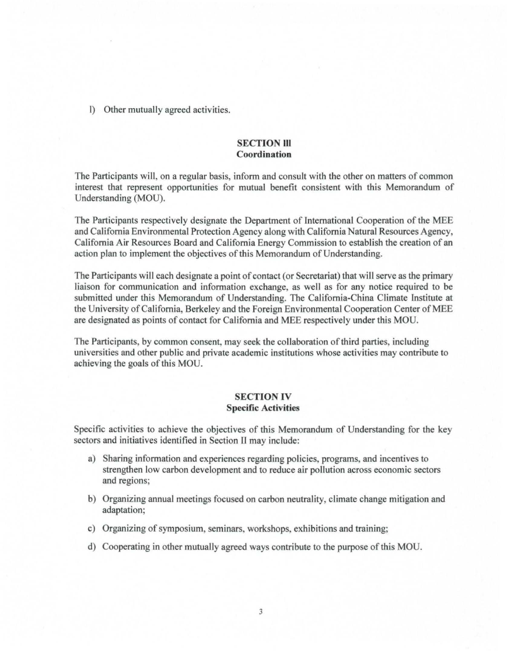l) Other mutually agreed activities.

### **SECTION III Coordination**

The Participants will, on a regular basis, inform and consult with the other on matters of common interest that represent opportunities for mutual benefit consistent with this Memorandum of Understanding (MOU).

The Participants respectively designate the Department of International Cooperation of the MEE and California Environmental Protection Agency along with California Natural Resources Agency, California Air Resources Board and California Energy Commission to establish the creation of an action plan to implement the objectives of this Memorandum of Understanding.

The Participants will each designate a point of contact (or Secretariat) that will serve as the primary liaison for communication and infonnation exchange, as well as for any notice required to be submitted under this Memorandum of Understanding. The California-China Climate Institute at the University of California, Berkeley and the Foreign Environmental Cooperation Center of MEE are designated as points of contact for California and MEE respectively under this MOU.

The Participants, by common consent, may seek the collaboration ofthird parties, including universities and other public and private academic institutions whose activities may contribute to achieving the goals of this MOU.

### **SECTION** IV **Specific Activities**

Specific activities to achieve the objectives of this Memorandum of Understanding for the key sectors and initiatives identified in Section U may include:

- a) Sharing information and experiences regarding policies, programs, and incentives to strengthen low carbon development and to reduce air pollution across economic sectors and regions;
- b) Organizing annual meetings focused on carbon neutrality, climate change mitigation and adaptation;
- c) Organizing of symposium, seminars, workshops, exhibitions and training;
- d) Cooperating in other mutually agreed ways contribute to the purpose ofthis MOU.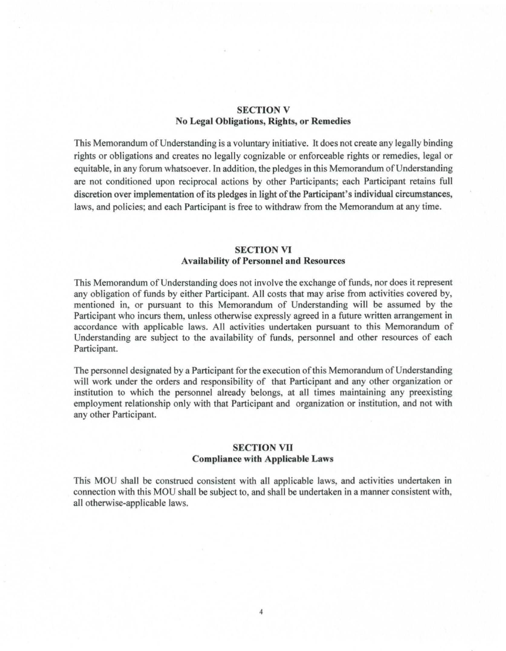## **SECTION V No Legal Obligations, Rights, or Remedies**

This Memorandum of Understanding is a voluntary initiative. It does not create any legally binding rights or obligations and creates no legally cognizable or enforceable rights or remedies, legal or equitable, in any forum whatsoever. In addition, the pledges in this Memorandum of Understanding are not conditioned upon reciprocal actions by other Participants; each Participant retains full discretion over implementation of its pledges in light of the Participant's individual circumstances, laws, and policies; and each Participant is free to withdraw from the Memorandum at any time.

### **SECTION VI Availability of Personnel and Resources**

This Memorandum of Understanding does not involve the exchange of funds, nor does it represent any obligation of funds by either Participant. All costs that may arise from activities covered by, mentioned in, or pursuant to this Memorandum of Understanding will be assumed by the Participant who incurs them, unless otherwise expressly agreed in a future written arrangement in accordance with applicable laws. All activities undertaken pursuant to this Memorandum of Understanding are subject to the availability of funds, personnel and other resources of each Participant.

The personnel designated by a Participant for the execution of this Memorandum of Understanding will work under the orders and responsibility of that Participant and any other organization or institution to which the personnel already belongs, at all times maintaining any preexisting employment relationship only with that Participant and organization or institution, and not with any other Participant.

### **SECTION VII Compliance with Applicable Laws**

This MOU shall be construed consistent with all applicable laws, and activities undertaken in connection with this MOU shall be subject to, and shall be undertaken in a manner consistent with, all otherwise-applicable laws.